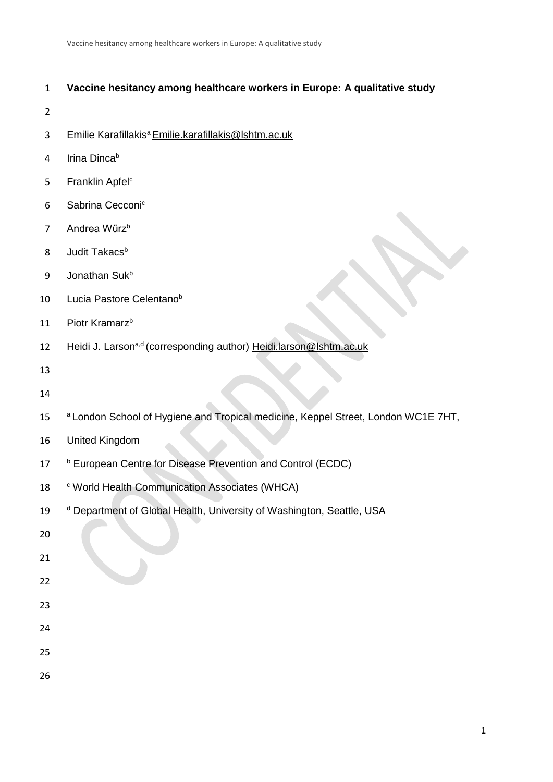# 1 **Vaccine hesitancy among healthcare workers in Europe: A qualitative study**

- 2
- 3 Emilie Karafillakis<sup>a</sup> [Emilie.karafillakis@lshtm.ac.uk](mailto:Emilie.karafillakis@lshtm.ac.uk)
- 4 Irina Dinca<sup>b</sup>
- 5 Franklin Apfel<sup>c</sup>
- 6 Sabrina Cecconic
- 7 Andrea Wűrz<sup>b</sup>
- 8 Judit Takacs<sup>b</sup>
- 9 Jonathan Suk<sup>b</sup>
- 10 Lucia Pastore Celentano<sup>b</sup>
- 11 Piotr Kramarz<sup>b</sup>
- 12 Heidi J. Larson<sup>a,d</sup> (corresponding author) [Heidi.larson@lshtm.ac.uk](mailto:Heidi.larson@lshtm.ac.uk)
- 13
- 14
- <sup>a</sup> London School of Hygiene and Tropical medicine, Keppel Street, London WC1E 7HT,
- 16 United Kingdom
- 17 b European Centre for Disease Prevention and Control (ECDC)
- 18 <sup>c</sup> World Health Communication Associates (WHCA)
- 19 d Department of Global Health, University of Washington, Seattle, USA
- 20
- 21
- 22
- 23
- 
- 24
- 25
- 26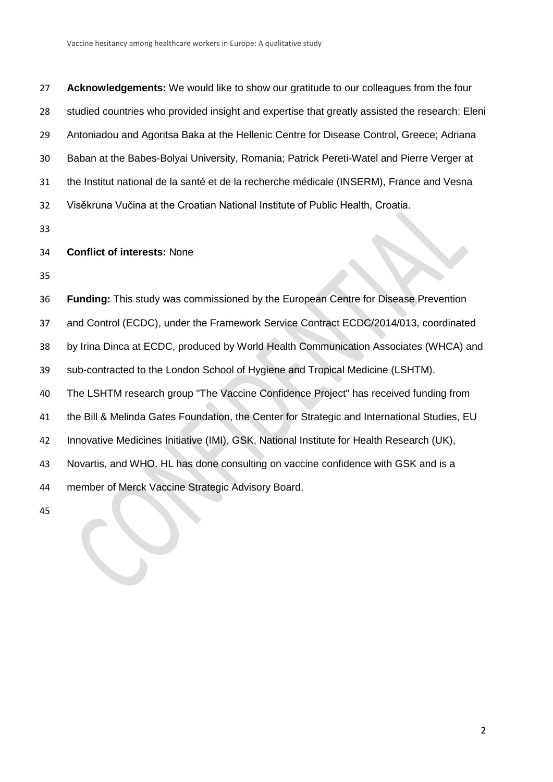**Acknowledgements:** We would like to show our gratitude to our colleagues from the four studied countries who provided insight and expertise that greatly assisted the research: Eleni Antoniadou and Agoritsa Baka at the Hellenic Centre for Disease Control, Greece; Adriana Baban at the Babes-Bolyai University, Romania; Patrick Pereti-Watel and Pierre Verger at the Institut national de la santé et de la recherche médicale (INSERM), France and Vesna Visěkruna Vučina at the Croatian National Institute of Public Health, Croatia.

## **Conflict of interests:** None

 **Funding:** This study was commissioned by the European Centre for Disease Prevention and Control (ECDC), under the Framework Service Contract ECDC/2014/013, coordinated by Irina Dinca at ECDC, produced by World Health Communication Associates (WHCA) and sub-contracted to the London School of Hygiene and Tropical Medicine (LSHTM). The LSHTM research group "The Vaccine Confidence Project" has received funding from the Bill & Melinda Gates Foundation, the Center for Strategic and International Studies, EU Innovative Medicines Initiative (IMI), GSK, National Institute for Health Research (UK), Novartis, and WHO. HL has done consulting on vaccine confidence with GSK and is a member of Merck Vaccine Strategic Advisory Board.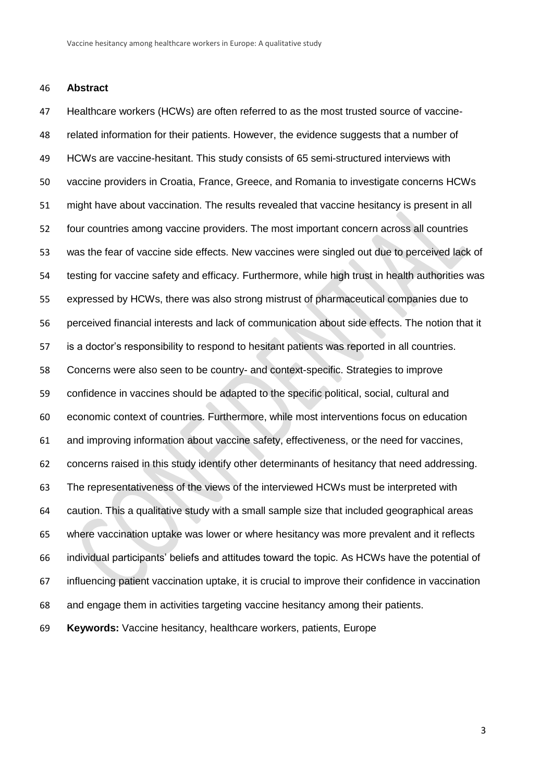#### **Abstract**

 Healthcare workers (HCWs) are often referred to as the most trusted source of vaccine- related information for their patients. However, the evidence suggests that a number of HCWs are vaccine-hesitant. This study consists of 65 semi-structured interviews with vaccine providers in Croatia, France, Greece, and Romania to investigate concerns HCWs might have about vaccination. The results revealed that vaccine hesitancy is present in all four countries among vaccine providers. The most important concern across all countries was the fear of vaccine side effects. New vaccines were singled out due to perceived lack of testing for vaccine safety and efficacy. Furthermore, while high trust in health authorities was expressed by HCWs, there was also strong mistrust of pharmaceutical companies due to perceived financial interests and lack of communication about side effects. The notion that it is a doctor's responsibility to respond to hesitant patients was reported in all countries. Concerns were also seen to be country- and context-specific. Strategies to improve confidence in vaccines should be adapted to the specific political, social, cultural and economic context of countries. Furthermore, while most interventions focus on education and improving information about vaccine safety, effectiveness, or the need for vaccines, concerns raised in this study identify other determinants of hesitancy that need addressing. The representativeness of the views of the interviewed HCWs must be interpreted with caution. This a qualitative study with a small sample size that included geographical areas where vaccination uptake was lower or where hesitancy was more prevalent and it reflects individual participants' beliefs and attitudes toward the topic. As HCWs have the potential of influencing patient vaccination uptake, it is crucial to improve their confidence in vaccination and engage them in activities targeting vaccine hesitancy among their patients. **Keywords:** Vaccine hesitancy, healthcare workers, patients, Europe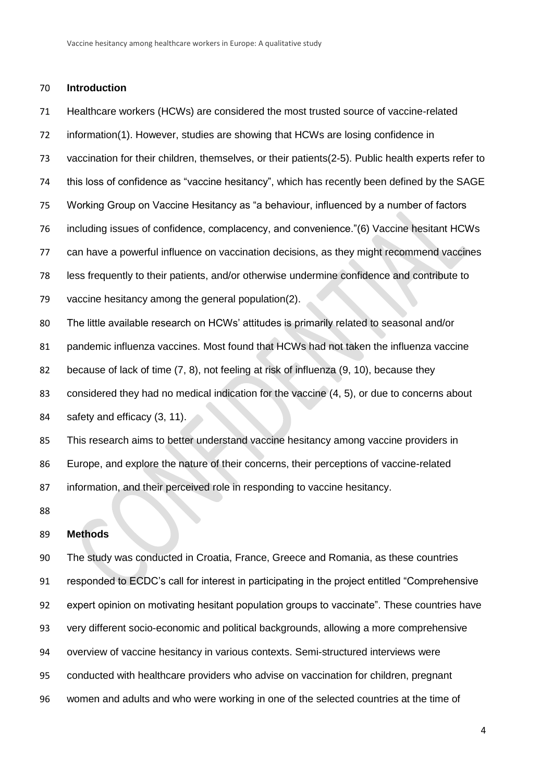## **Introduction**

 Healthcare workers (HCWs) are considered the most trusted source of vaccine-related information[\(1\)](#page-17-0). However, studies are showing that HCWs are losing confidence in vaccination for their children, themselves, or their patients[\(2-5\)](#page-17-1). Public health experts refer to this loss of confidence as "vaccine hesitancy", which has recently been defined by the SAGE Working Group on Vaccine Hesitancy as "a behaviour, influenced by a number of factors including issues of confidence, complacency, and convenience."[\(6\)](#page-17-2) Vaccine hesitant HCWs can have a powerful influence on vaccination decisions, as they might recommend vaccines less frequently to their patients, and/or otherwise undermine confidence and contribute to vaccine hesitancy among the general population[\(2\)](#page-17-1). The little available research on HCWs' attitudes is primarily related to seasonal and/or pandemic influenza vaccines. Most found that HCWs had not taken the influenza vaccine because of lack of time [\(7,](#page-17-3) [8\)](#page-17-4), not feeling at risk of influenza [\(9,](#page-17-5) [10\)](#page-17-6), because they considered they had no medical indication for the vaccine [\(4,](#page-17-7) [5\)](#page-17-8), or due to concerns about safety and efficacy [\(3,](#page-17-9) [11\)](#page-17-10). This research aims to better understand vaccine hesitancy among vaccine providers in Europe, and explore the nature of their concerns, their perceptions of vaccine-related information, and their perceived role in responding to vaccine hesitancy. 

#### **Methods**

 The study was conducted in Croatia, France, Greece and Romania, as these countries responded to ECDC's call for interest in participating in the project entitled "Comprehensive expert opinion on motivating hesitant population groups to vaccinate". These countries have very different socio-economic and political backgrounds, allowing a more comprehensive overview of vaccine hesitancy in various contexts. Semi-structured interviews were conducted with healthcare providers who advise on vaccination for children, pregnant women and adults and who were working in one of the selected countries at the time of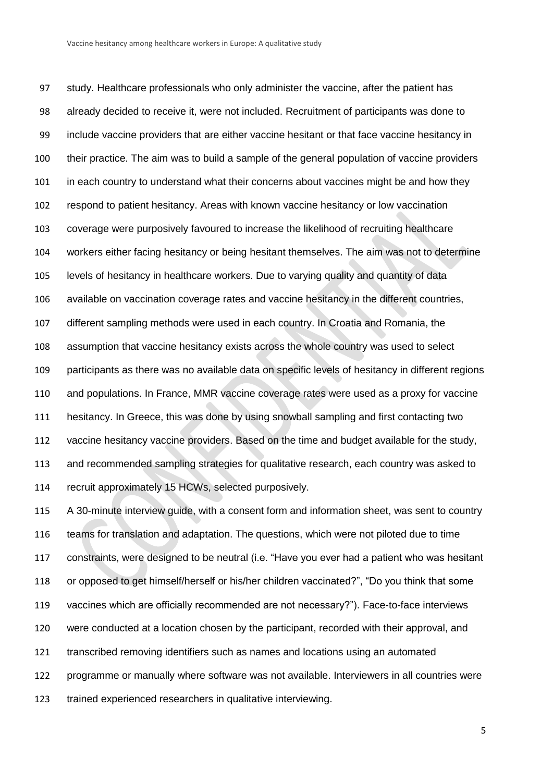study. Healthcare professionals who only administer the vaccine, after the patient has already decided to receive it, were not included. Recruitment of participants was done to include vaccine providers that are either vaccine hesitant or that face vaccine hesitancy in their practice. The aim was to build a sample of the general population of vaccine providers in each country to understand what their concerns about vaccines might be and how they respond to patient hesitancy. Areas with known vaccine hesitancy or low vaccination coverage were purposively favoured to increase the likelihood of recruiting healthcare workers either facing hesitancy or being hesitant themselves. The aim was not to determine levels of hesitancy in healthcare workers. Due to varying quality and quantity of data available on vaccination coverage rates and vaccine hesitancy in the different countries, different sampling methods were used in each country. In Croatia and Romania, the assumption that vaccine hesitancy exists across the whole country was used to select participants as there was no available data on specific levels of hesitancy in different regions and populations. In France, MMR vaccine coverage rates were used as a proxy for vaccine hesitancy. In Greece, this was done by using snowball sampling and first contacting two vaccine hesitancy vaccine providers. Based on the time and budget available for the study, and recommended sampling strategies for qualitative research, each country was asked to recruit approximately 15 HCWs, selected purposively.

 A 30-minute interview guide, with a consent form and information sheet, was sent to country teams for translation and adaptation. The questions, which were not piloted due to time constraints, were designed to be neutral (i.e. "Have you ever had a patient who was hesitant or opposed to get himself/herself or his/her children vaccinated?", "Do you think that some vaccines which are officially recommended are not necessary?"). Face-to-face interviews were conducted at a location chosen by the participant, recorded with their approval, and transcribed removing identifiers such as names and locations using an automated programme or manually where software was not available. Interviewers in all countries were trained experienced researchers in qualitative interviewing.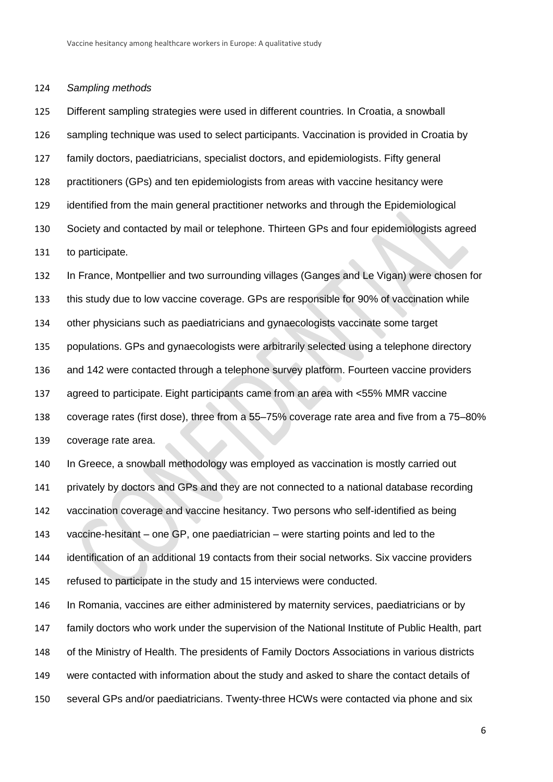### *Sampling methods*

 Different sampling strategies were used in different countries. In Croatia, a snowball 126 sampling technique was used to select participants. Vaccination is provided in Croatia by family doctors, paediatricians, specialist doctors, and epidemiologists. Fifty general practitioners (GPs) and ten epidemiologists from areas with vaccine hesitancy were identified from the main general practitioner networks and through the Epidemiological Society and contacted by mail or telephone. Thirteen GPs and four epidemiologists agreed to participate.

 In France, Montpellier and two surrounding villages (Ganges and Le Vigan) were chosen for this study due to low vaccine coverage. GPs are responsible for 90% of vaccination while other physicians such as paediatricians and gynaecologists vaccinate some target populations. GPs and gynaecologists were arbitrarily selected using a telephone directory and 142 were contacted through a telephone survey platform. Fourteen vaccine providers agreed to participate. Eight participants came from an area with <55% MMR vaccine coverage rates (first dose), three from a 55–75% coverage rate area and five from a 75–80% coverage rate area.

 In Greece, a snowball methodology was employed as vaccination is mostly carried out privately by doctors and GPs and they are not connected to a national database recording vaccination coverage and vaccine hesitancy. Two persons who self-identified as being vaccine-hesitant – one GP, one paediatrician – were starting points and led to the identification of an additional 19 contacts from their social networks. Six vaccine providers refused to participate in the study and 15 interviews were conducted. In Romania, vaccines are either administered by maternity services, paediatricians or by

 family doctors who work under the supervision of the National Institute of Public Health, part of the Ministry of Health. The presidents of Family Doctors Associations in various districts were contacted with information about the study and asked to share the contact details of several GPs and/or paediatricians. Twenty-three HCWs were contacted via phone and six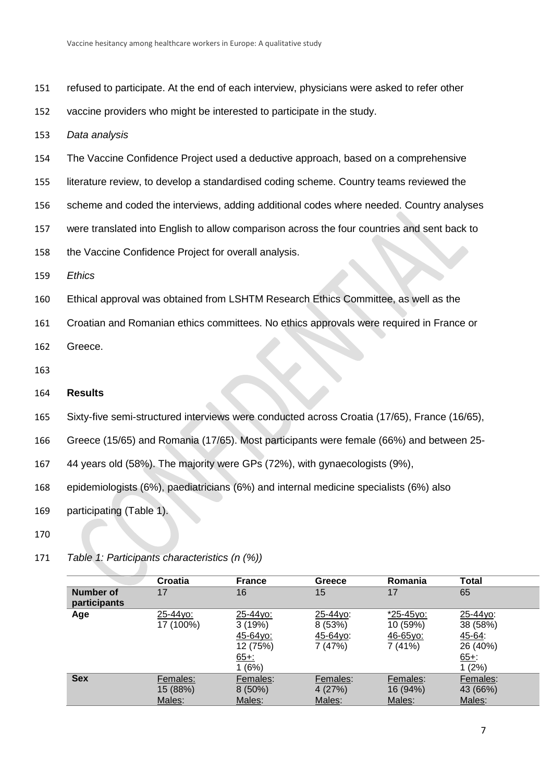- 151 refused to participate. At the end of each interview, physicians were asked to refer other
- 152 vaccine providers who might be interested to participate in the study.
- 153 *Data analysis*
- 154 The Vaccine Confidence Project used a deductive approach, based on a comprehensive
- 155 literature review, to develop a standardised coding scheme. Country teams reviewed the
- 156 scheme and coded the interviews, adding additional codes where needed. Country analyses
- 157 were translated into English to allow comparison across the four countries and sent back to
- 158 the Vaccine Confidence Project for overall analysis.
- 159 *Ethics*
- 160 Ethical approval was obtained from LSHTM Research Ethics Committee, as well as the
- 161 Croatian and Romanian ethics committees. No ethics approvals were required in France or

162 Greece.

163

## 164 **Results**

- 165 Sixty-five semi-structured interviews were conducted across Croatia (17/65), France (16/65),
- 166 Greece (15/65) and Romania (17/65). Most participants were female (66%) and between 25-
- 167 44 years old (58%). The majority were GPs (72%), with gynaecologists (9%),
- 168 epidemiologists (6%), paediatricians (6%) and internal medicine specialists (6%) also
- 169 participating (Table 1).
- 170
- **Croatia France Greece Romania Total Number of participants** 17 16 15 17 65 **Age** 25-44yo: 17 (100%) 25-44yo: 3 (19%) 45-64yo: 12 (75%) 65+: 1 (6%) 25-44yo: 8 (53%) 45-64yo: 7 (47%) \*25-45yo: 10 (59%) 46-65yo: 7 (41%) 25-44yo: 38 (58%) 45-64: 26 (40%) 65+: 1 (2%) Sex Females: 15 (88%) Males: Females: 8 (50%) Males: Females: 4 (27%) Males: Females: 16 (94%) Males: Females: 43 (66%) Males:
- 171 *Table 1: Participants characteristics (n (%))*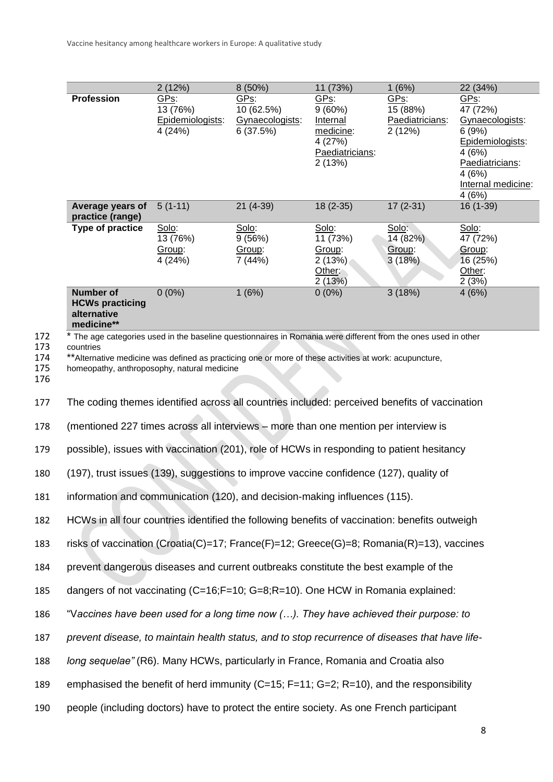| <b>Profession</b>                                                                                                                                                                                                                                                                     | GPs:                                 | GPs:                                      | 11 (73%)<br>GPs:                                                           | GPs:                                  | GPs:                                                                                                                                                                                 |
|---------------------------------------------------------------------------------------------------------------------------------------------------------------------------------------------------------------------------------------------------------------------------------------|--------------------------------------|-------------------------------------------|----------------------------------------------------------------------------|---------------------------------------|--------------------------------------------------------------------------------------------------------------------------------------------------------------------------------------|
|                                                                                                                                                                                                                                                                                       | Epidemiologists:<br>4 (24%)          | 10 (62.5%)<br>Gynaecologists:<br>6(37.5%) | $9(60\%)$<br>Internal<br>medicine:<br>4 (27%)<br>Paediatricians:<br>2(13%) | 15 (88%)<br>Paediatricians:<br>2(12%) | 47 (72%)<br>Gynaecologists:<br>6(9%)<br>Epidemiologists:<br>4(6%)<br>Paediatricians:<br>4 (6%)<br>Internal medicine:<br>4(6%)                                                        |
| Average years of                                                                                                                                                                                                                                                                      | $5(1-11)$                            | $21(4-39)$                                | $18(2-35)$                                                                 | $17(2-31)$                            | $16(1-39)$                                                                                                                                                                           |
|                                                                                                                                                                                                                                                                                       |                                      |                                           |                                                                            |                                       | Solo:                                                                                                                                                                                |
|                                                                                                                                                                                                                                                                                       | 13 (76%)<br>Group:<br>4 (24%)        | 9(56%)<br>Group:<br>7 (44%)               | 11 (73%)<br>Group:<br>2(13%)<br>Other:<br>2(13%)                           | 14 (82%)<br>Group:<br>3(18%)          | 47 (72%)<br>Group:<br>16 (25%)<br>Other:<br>2(3%)                                                                                                                                    |
| Number of<br><b>HCWs practicing</b><br>alternative<br>medicine**                                                                                                                                                                                                                      | $0(0\%)$                             | 1(6%)                                     | $0(0\%)$                                                                   | 3(18%)                                | 4(6%)                                                                                                                                                                                |
| * The age categories used in the baseline questionnaires in Romania were different from the ones used in other<br>countries<br>** Alternative medicine was defined as practicing one or more of these activities at work: acupuncture,<br>homeopathy, anthroposophy, natural medicine |                                      |                                           |                                                                            |                                       |                                                                                                                                                                                      |
| The coding themes identified across all countries included: perceived benefits of vaccination                                                                                                                                                                                         |                                      |                                           |                                                                            |                                       |                                                                                                                                                                                      |
|                                                                                                                                                                                                                                                                                       |                                      |                                           |                                                                            |                                       |                                                                                                                                                                                      |
| possible), issues with vaccination (201), role of HCWs in responding to patient hesitancy                                                                                                                                                                                             |                                      |                                           |                                                                            |                                       |                                                                                                                                                                                      |
| (197), trust issues (139), suggestions to improve vaccine confidence (127), quality of                                                                                                                                                                                                |                                      |                                           |                                                                            |                                       |                                                                                                                                                                                      |
| information and communication (120), and decision-making influences (115).                                                                                                                                                                                                            |                                      |                                           |                                                                            |                                       |                                                                                                                                                                                      |
| HCWs in all four countries identified the following benefits of vaccination: benefits outweigh<br>182                                                                                                                                                                                 |                                      |                                           |                                                                            |                                       |                                                                                                                                                                                      |
| risks of vaccination (Croatia(C)=17; France(F)=12; Greece(G)=8; Romania(R)=13), vaccines                                                                                                                                                                                              |                                      |                                           |                                                                            |                                       |                                                                                                                                                                                      |
| prevent dangerous diseases and current outbreaks constitute the best example of the                                                                                                                                                                                                   |                                      |                                           |                                                                            |                                       |                                                                                                                                                                                      |
|                                                                                                                                                                                                                                                                                       |                                      |                                           |                                                                            |                                       |                                                                                                                                                                                      |
| "Vaccines have been used for a long time now (). They have achieved their purpose: to                                                                                                                                                                                                 |                                      |                                           |                                                                            |                                       |                                                                                                                                                                                      |
| prevent disease, to maintain health status, and to stop recurrence of diseases that have life-                                                                                                                                                                                        |                                      |                                           |                                                                            |                                       |                                                                                                                                                                                      |
| long sequelae" (R6). Many HCWs, particularly in France, Romania and Croatia also                                                                                                                                                                                                      |                                      |                                           |                                                                            |                                       |                                                                                                                                                                                      |
| emphasised the benefit of herd immunity (C=15; F=11; G=2; R=10), and the responsibility                                                                                                                                                                                               |                                      |                                           |                                                                            |                                       |                                                                                                                                                                                      |
| people (including doctors) have to protect the entire society. As one French participant                                                                                                                                                                                              |                                      |                                           |                                                                            |                                       |                                                                                                                                                                                      |
|                                                                                                                                                                                                                                                                                       | practice (range)<br>Type of practice | 13 (76%)<br>Solo:                         | Solo:                                                                      | Solo:                                 | Solo:<br>(mentioned 227 times across all interviews – more than one mention per interview is<br>dangers of not vaccinating $(C=16; F=10; G=8; R=10)$ . One HCW in Romania explained: |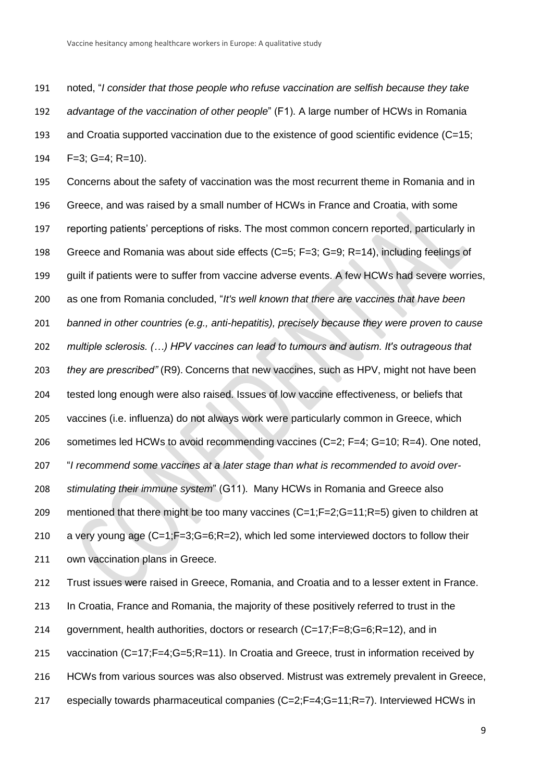noted, "*I consider that those people who refuse vaccination are selfish because they take advantage of the vaccination of other people*" (F1). A large number of HCWs in Romania and Croatia supported vaccination due to the existence of good scientific evidence (C=15; F=3; G=4; R=10).

 Concerns about the safety of vaccination was the most recurrent theme in Romania and in Greece, and was raised by a small number of HCWs in France and Croatia, with some reporting patients' perceptions of risks. The most common concern reported, particularly in Greece and Romania was about side effects (C=5; F=3; G=9; R=14), including feelings of guilt if patients were to suffer from vaccine adverse events. A few HCWs had severe worries, as one from Romania concluded, "*It's well known that there are vaccines that have been banned in other countries (e.g., anti-hepatitis), precisely because they were proven to cause multiple sclerosis. (…) HPV vaccines can lead to tumours and autism. It's outrageous that they are prescribed"* (R9). Concerns that new vaccines, such as HPV, might not have been tested long enough were also raised. Issues of low vaccine effectiveness, or beliefs that vaccines (i.e. influenza) do not always work were particularly common in Greece, which sometimes led HCWs to avoid recommending vaccines (C=2; F=4; G=10; R=4). One noted, "*I recommend some vaccines at a later stage than what is recommended to avoid over- stimulating their immune system*" (G11). Many HCWs in Romania and Greece also mentioned that there might be too many vaccines (C=1;F=2;G=11;R=5) given to children at 210 a very young age (C=1;F=3;G=6;R=2), which led some interviewed doctors to follow their own vaccination plans in Greece.

 Trust issues were raised in Greece, Romania, and Croatia and to a lesser extent in France. 213 In Croatia, France and Romania, the majority of these positively referred to trust in the government, health authorities, doctors or research (C=17;F=8;G=6;R=12), and in 215 vaccination (C=17;F=4;G=5;R=11). In Croatia and Greece, trust in information received by HCWs from various sources was also observed. Mistrust was extremely prevalent in Greece, especially towards pharmaceutical companies (C=2;F=4;G=11;R=7). Interviewed HCWs in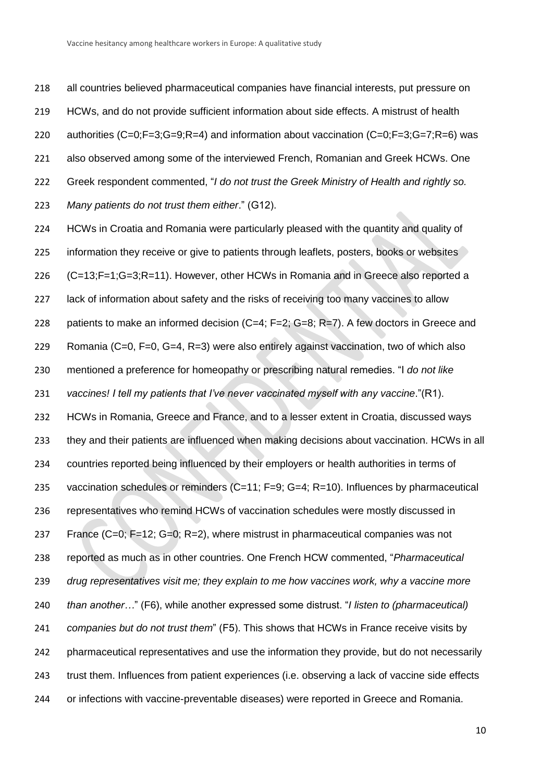all countries believed pharmaceutical companies have financial interests, put pressure on HCWs, and do not provide sufficient information about side effects. A mistrust of health authorities (C=0;F=3;G=9;R=4) and information about vaccination (C=0;F=3;G=7;R=6) was also observed among some of the interviewed French, Romanian and Greek HCWs. One Greek respondent commented, "*I do not trust the Greek Ministry of Health and rightly so. Many patients do not trust them either*." (G12).

 HCWs in Croatia and Romania were particularly pleased with the quantity and quality of 225 information they receive or give to patients through leaflets, posters, books or websites (C=13;F=1;G=3;R=11). However, other HCWs in Romania and in Greece also reported a lack of information about safety and the risks of receiving too many vaccines to allow patients to make an informed decision (C=4; F=2; G=8; R=7). A few doctors in Greece and Romania (C=0, F=0, G=4, R=3) were also entirely against vaccination, two of which also mentioned a preference for homeopathy or prescribing natural remedies. "I *do not like vaccines! I tell my patients that I've never vaccinated myself with any vaccine*."(R1). HCWs in Romania, Greece and France, and to a lesser extent in Croatia, discussed ways they and their patients are influenced when making decisions about vaccination. HCWs in all countries reported being influenced by their employers or health authorities in terms of vaccination schedules or reminders (C=11; F=9; G=4; R=10). Influences by pharmaceutical representatives who remind HCWs of vaccination schedules were mostly discussed in France (C=0; F=12; G=0; R=2), where mistrust in pharmaceutical companies was not reported as much as in other countries. One French HCW commented, "*Pharmaceutical drug representatives visit me; they explain to me how vaccines work, why a vaccine more than another…*" (F6), while another expressed some distrust. "*I listen to (pharmaceutical) companies but do not trust them*" (F5). This shows that HCWs in France receive visits by pharmaceutical representatives and use the information they provide, but do not necessarily 243 trust them. Influences from patient experiences (i.e. observing a lack of vaccine side effects or infections with vaccine-preventable diseases) were reported in Greece and Romania.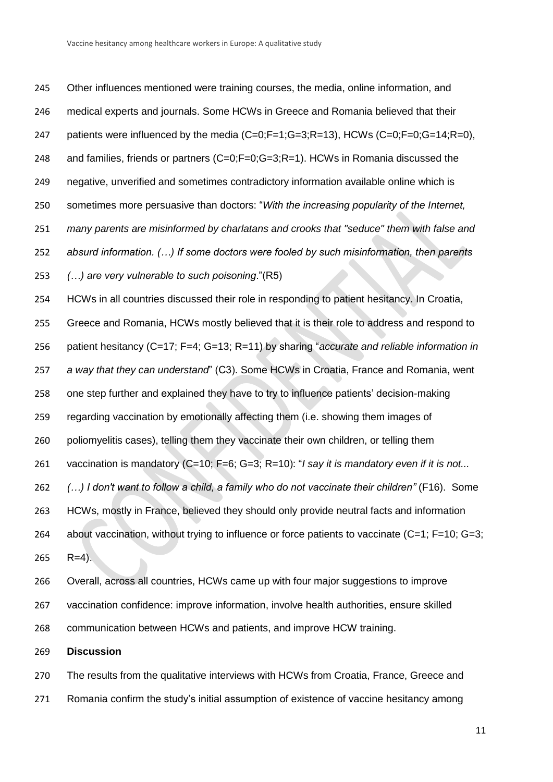Other influences mentioned were training courses, the media, online information, and medical experts and journals. Some HCWs in Greece and Romania believed that their 247 patients were influenced by the media (C=0;F=1;G=3;R=13), HCWs (C=0;F=0;G=14;R=0), and families, friends or partners (C=0;F=0;G=3;R=1). HCWs in Romania discussed the negative, unverified and sometimes contradictory information available online which is sometimes more persuasive than doctors: "*With the increasing popularity of the Internet, many parents are misinformed by charlatans and crooks that "seduce" them with false and absurd information. (…) If some doctors were fooled by such misinformation, then parents (…) are very vulnerable to such poisoning*."(R5) HCWs in all countries discussed their role in responding to patient hesitancy. In Croatia, Greece and Romania, HCWs mostly believed that it is their role to address and respond to patient hesitancy (C=17; F=4; G=13; R=11) by sharing "*accurate and reliable information in a way that they can understand*" (C3). Some HCWs in Croatia, France and Romania, went one step further and explained they have to try to influence patients' decision-making regarding vaccination by emotionally affecting them (i.e. showing them images of poliomyelitis cases), telling them they vaccinate their own children, or telling them vaccination is mandatory (C=10; F=6; G=3; R=10): "*I say it is mandatory even if it is not... (…) I don't want to follow a child, a family who do not vaccinate their children"* (F16). Some HCWs, mostly in France, believed they should only provide neutral facts and information 264 about vaccination, without trying to influence or force patients to vaccinate (C=1; F=10; G=3; R=4).

 Overall, across all countries, HCWs came up with four major suggestions to improve vaccination confidence: improve information, involve health authorities, ensure skilled communication between HCWs and patients, and improve HCW training.

**Discussion**

 The results from the qualitative interviews with HCWs from Croatia, France, Greece and Romania confirm the study's initial assumption of existence of vaccine hesitancy among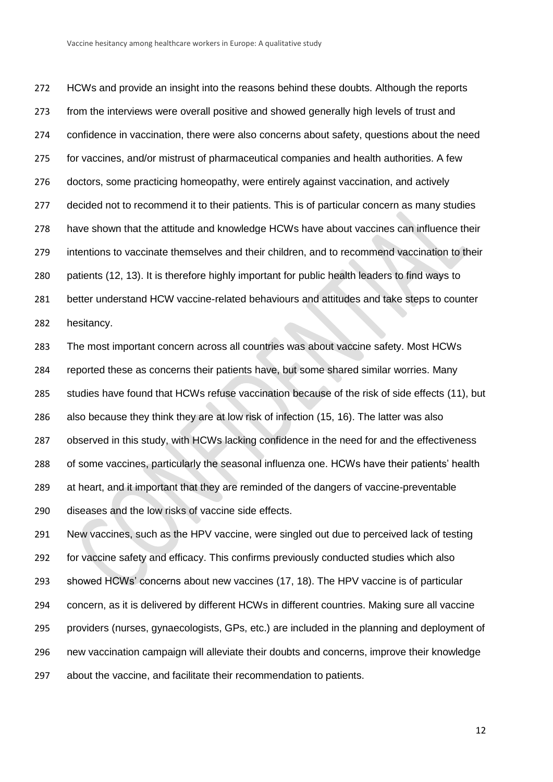HCWs and provide an insight into the reasons behind these doubts. Although the reports from the interviews were overall positive and showed generally high levels of trust and confidence in vaccination, there were also concerns about safety, questions about the need for vaccines, and/or mistrust of pharmaceutical companies and health authorities. A few doctors, some practicing homeopathy, were entirely against vaccination, and actively decided not to recommend it to their patients. This is of particular concern as many studies have shown that the attitude and knowledge HCWs have about vaccines can influence their intentions to vaccinate themselves and their children, and to recommend vaccination to their patients [\(12,](#page-17-11) [13\)](#page-17-12). It is therefore highly important for public health leaders to find ways to better understand HCW vaccine-related behaviours and attitudes and take steps to counter hesitancy.

 The most important concern across all countries was about vaccine safety. Most HCWs reported these as concerns their patients have, but some shared similar worries. Many studies have found that HCWs refuse vaccination because of the risk of side effects [\(11\)](#page-17-10), but also because they think they are at low risk of infection [\(15,](#page-17-13) [16\)](#page-17-14). The latter was also 287 observed in this study, with HCWs lacking confidence in the need for and the effectiveness of some vaccines, particularly the seasonal influenza one. HCWs have their patients' health at heart, and it important that they are reminded of the dangers of vaccine-preventable diseases and the low risks of vaccine side effects.

 New vaccines, such as the HPV vaccine, were singled out due to perceived lack of testing for vaccine safety and efficacy. This confirms previously conducted studies which also showed HCWs' concerns about new vaccines [\(17,](#page-17-15) [18\)](#page-17-16). The HPV vaccine is of particular concern, as it is delivered by different HCWs in different countries. Making sure all vaccine providers (nurses, gynaecologists, GPs, etc.) are included in the planning and deployment of new vaccination campaign will alleviate their doubts and concerns, improve their knowledge about the vaccine, and facilitate their recommendation to patients.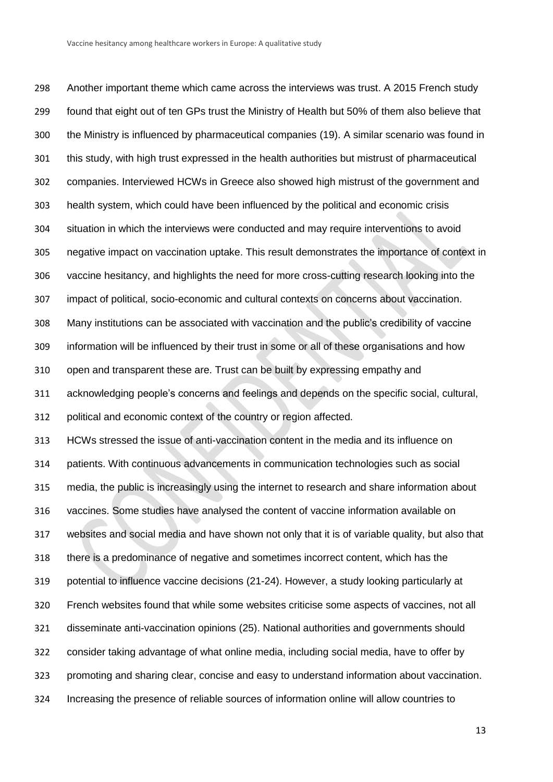Another important theme which came across the interviews was trust. A 2015 French study found that eight out of ten GPs trust the Ministry of Health but 50% of them also believe that the Ministry is influenced by pharmaceutical companies [\(19\)](#page-18-0). A similar scenario was found in this study, with high trust expressed in the health authorities but mistrust of pharmaceutical companies. Interviewed HCWs in Greece also showed high mistrust of the government and health system, which could have been influenced by the political and economic crisis situation in which the interviews were conducted and may require interventions to avoid negative impact on vaccination uptake. This result demonstrates the importance of context in vaccine hesitancy, and highlights the need for more cross-cutting research looking into the impact of political, socio-economic and cultural contexts on concerns about vaccination. Many institutions can be associated with vaccination and the public's credibility of vaccine information will be influenced by their trust in some or all of these organisations and how open and transparent these are. Trust can be built by expressing empathy and acknowledging people's concerns and feelings and depends on the specific social, cultural, political and economic context of the country or region affected. HCWs stressed the issue of anti-vaccination content in the media and its influence on patients. With continuous advancements in communication technologies such as social media, the public is increasingly using the internet to research and share information about vaccines. Some studies have analysed the content of vaccine information available on websites and social media and have shown not only that it is of variable quality, but also that there is a predominance of negative and sometimes incorrect content, which has the potential to influence vaccine decisions [\(21-24\)](#page-18-1). However, a study looking particularly at French websites found that while some websites criticise some aspects of vaccines, not all disseminate anti-vaccination opinions [\(25\)](#page-18-2). National authorities and governments should consider taking advantage of what online media, including social media, have to offer by promoting and sharing clear, concise and easy to understand information about vaccination. Increasing the presence of reliable sources of information online will allow countries to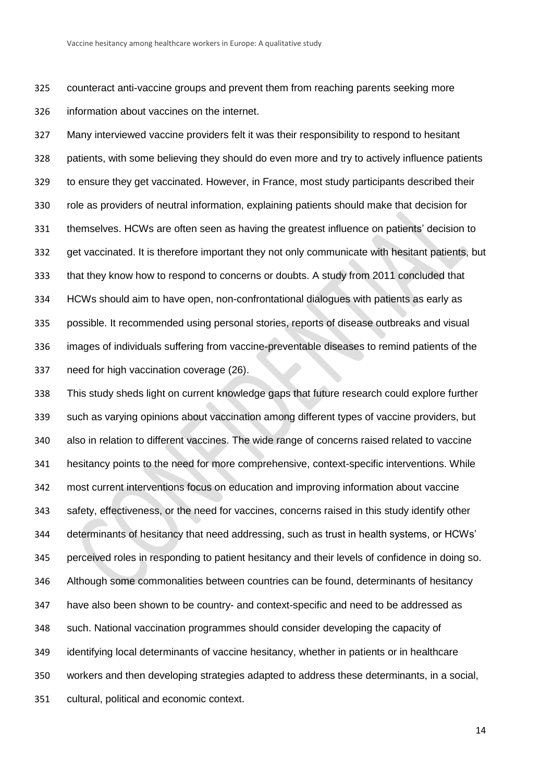counteract anti-vaccine groups and prevent them from reaching parents seeking more information about vaccines on the internet.

 Many interviewed vaccine providers felt it was their responsibility to respond to hesitant patients, with some believing they should do even more and try to actively influence patients to ensure they get vaccinated. However, in France, most study participants described their role as providers of neutral information, explaining patients should make that decision for themselves. HCWs are often seen as having the greatest influence on patients' decision to get vaccinated. It is therefore important they not only communicate with hesitant patients, but that they know how to respond to concerns or doubts. A study from 2011 concluded that HCWs should aim to have open, non-confrontational dialogues with patients as early as possible. It recommended using personal stories, reports of disease outbreaks and visual images of individuals suffering from vaccine-preventable diseases to remind patients of the need for high vaccination coverage [\(26\)](#page-18-3).

 This study sheds light on current knowledge gaps that future research could explore further such as varying opinions about vaccination among different types of vaccine providers, but also in relation to different vaccines. The wide range of concerns raised related to vaccine hesitancy points to the need for more comprehensive, context-specific interventions. While most current interventions focus on education and improving information about vaccine safety, effectiveness, or the need for vaccines, concerns raised in this study identify other determinants of hesitancy that need addressing, such as trust in health systems, or HCWs' perceived roles in responding to patient hesitancy and their levels of confidence in doing so. Although some commonalities between countries can be found, determinants of hesitancy have also been shown to be country- and context-specific and need to be addressed as such. National vaccination programmes should consider developing the capacity of identifying local determinants of vaccine hesitancy, whether in patients or in healthcare workers and then developing strategies adapted to address these determinants, in a social, cultural, political and economic context.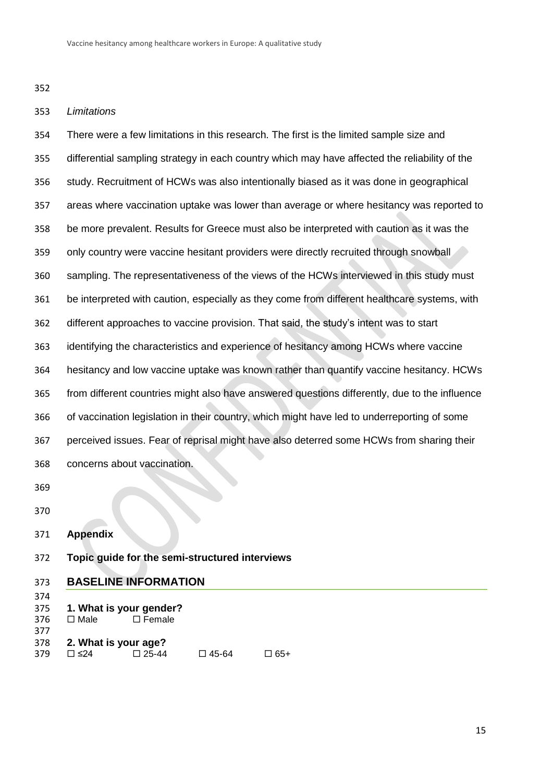### *Limitations*

 There were a few limitations in this research. The first is the limited sample size and differential sampling strategy in each country which may have affected the reliability of the study. Recruitment of HCWs was also intentionally biased as it was done in geographical areas where vaccination uptake was lower than average or where hesitancy was reported to be more prevalent. Results for Greece must also be interpreted with caution as it was the only country were vaccine hesitant providers were directly recruited through snowball sampling. The representativeness of the views of the HCWs interviewed in this study must be interpreted with caution, especially as they come from different healthcare systems, with different approaches to vaccine provision. That said, the study's intent was to start identifying the characteristics and experience of hesitancy among HCWs where vaccine hesitancy and low vaccine uptake was known rather than quantify vaccine hesitancy. HCWs from different countries might also have answered questions differently, due to the influence of vaccination legislation in their country, which might have led to underreporting of some perceived issues. Fear of reprisal might have also deterred some HCWs from sharing their concerns about vaccination. 

- **Appendix**
- **Topic guide for the semi-structured interviews**

#### **BASELINE INFORMATION**

- 
- **1. What is your gender?**
- 376 □ Male □ Female
- **2. What is your age?** 379 □ ≤24 □ 25-44 □ 45-64 □ 65+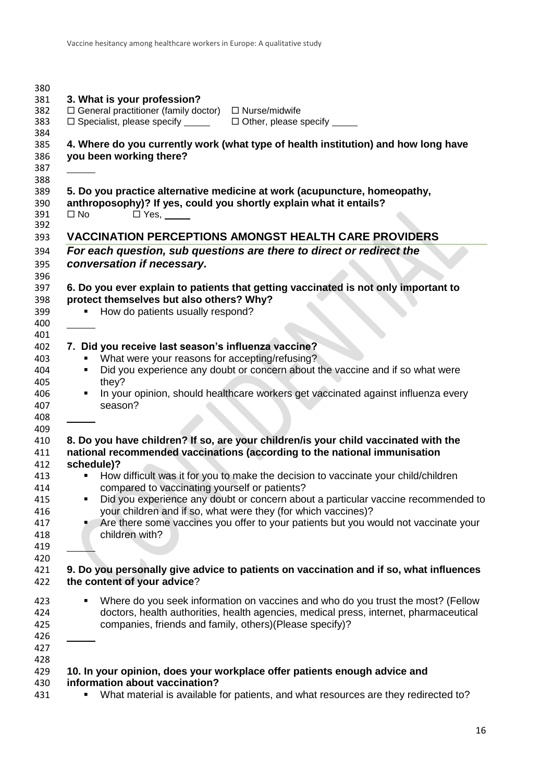| 380 |                                                                                        |  |  |
|-----|----------------------------------------------------------------------------------------|--|--|
| 381 | 3. What is your profession?                                                            |  |  |
| 382 | $\Box$ General practitioner (family doctor)<br>$\Box$ Nurse/midwife                    |  |  |
| 383 | $\Box$ Specialist, please specify $\Box$<br>$\Box$ Other, please specify $\Box$        |  |  |
| 384 |                                                                                        |  |  |
| 385 | 4. Where do you currently work (what type of health institution) and how long have     |  |  |
| 386 |                                                                                        |  |  |
|     | you been working there?                                                                |  |  |
| 387 |                                                                                        |  |  |
| 388 |                                                                                        |  |  |
| 389 | 5. Do you practice alternative medicine at work (acupuncture, homeopathy,              |  |  |
| 390 | anthroposophy)? If yes, could you shortly explain what it entails?                     |  |  |
| 391 | $\square$ No<br>$\Box$ Yes, $\_\_\_\_\_\_\_\_\_\_\_\_\_\_$                             |  |  |
| 392 |                                                                                        |  |  |
| 393 | <b>VACCINATION PERCEPTIONS AMONGST HEALTH CARE PROVIDERS</b>                           |  |  |
| 394 | For each question, sub questions are there to direct or redirect the                   |  |  |
|     |                                                                                        |  |  |
| 395 | conversation if necessary.                                                             |  |  |
| 396 |                                                                                        |  |  |
| 397 | 6. Do you ever explain to patients that getting vaccinated is not only important to    |  |  |
| 398 | protect themselves but also others? Why?                                               |  |  |
| 399 | How do patients usually respond?                                                       |  |  |
| 400 |                                                                                        |  |  |
| 401 |                                                                                        |  |  |
| 402 |                                                                                        |  |  |
|     | 7. Did you receive last season's influenza vaccine?                                    |  |  |
| 403 | What were your reasons for accepting/refusing?                                         |  |  |
| 404 | Did you experience any doubt or concern about the vaccine and if so what were          |  |  |
| 405 | they?                                                                                  |  |  |
|     | In your opinion, should healthcare workers get vaccinated against influenza every      |  |  |
|     | season?                                                                                |  |  |
|     |                                                                                        |  |  |
|     |                                                                                        |  |  |
|     | 8. Do you have children? If so, are your children/is your child vaccinated with the    |  |  |
|     |                                                                                        |  |  |
|     | national recommended vaccinations (according to the national immunisation              |  |  |
|     | schedule)?                                                                             |  |  |
|     | How difficult was it for you to make the decision to vaccinate your child/children     |  |  |
|     | compared to vaccinating yourself or patients?                                          |  |  |
|     | Did you experience any doubt or concern about a particular vaccine recommended to<br>٠ |  |  |
|     | your children and if so, what were they (for which vaccines)?                          |  |  |
|     | Are there some vaccines you offer to your patients but you would not vaccinate your    |  |  |
|     | children with?                                                                         |  |  |
|     |                                                                                        |  |  |
|     |                                                                                        |  |  |
|     |                                                                                        |  |  |
|     | 9. Do you personally give advice to patients on vaccination and if so, what influences |  |  |
|     | the content of your advice?                                                            |  |  |
|     |                                                                                        |  |  |
|     | Where do you seek information on vaccines and who do you trust the most? (Fellow<br>П  |  |  |
|     | doctors, health authorities, health agencies, medical press, internet, pharmaceutical  |  |  |
|     | companies, friends and family, others)(Please specify)?                                |  |  |
|     |                                                                                        |  |  |
|     |                                                                                        |  |  |
|     |                                                                                        |  |  |
|     |                                                                                        |  |  |
|     | 10. In your opinion, does your workplace offer patients enough advice and              |  |  |
|     | information about vaccination?                                                         |  |  |
|     | What material is available for patients, and what resources are they redirected to?    |  |  |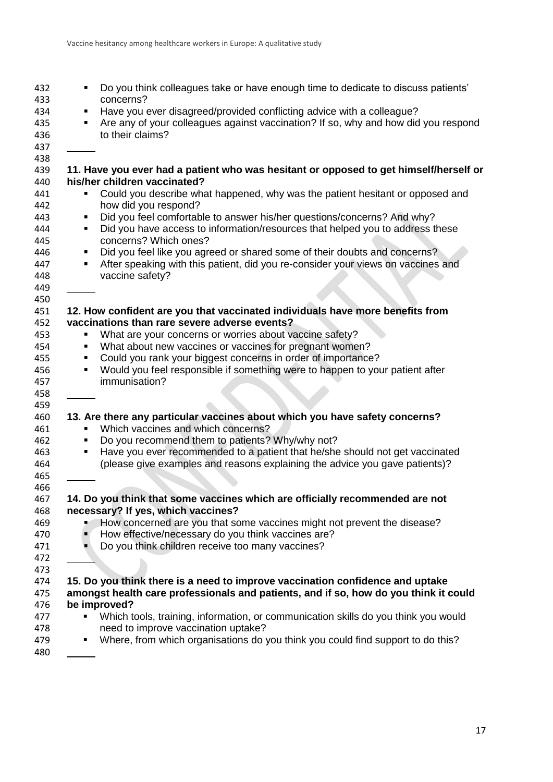| 432        | Do you think colleagues take or have enough time to dedicate to discuss patients'                     |
|------------|-------------------------------------------------------------------------------------------------------|
| 433        | concerns?                                                                                             |
| 434        | Have you ever disagreed/provided conflicting advice with a colleague?<br>٠                            |
| 435        | Are any of your colleagues against vaccination? If so, why and how did you respond                    |
| 436        | to their claims?                                                                                      |
| 437        |                                                                                                       |
| 438        |                                                                                                       |
| 439        | 11. Have you ever had a patient who was hesitant or opposed to get himself/herself or                 |
| 440        | his/her children vaccinated?                                                                          |
| 441<br>442 | Could you describe what happened, why was the patient hesitant or opposed and<br>how did you respond? |
| 443        | Did you feel comfortable to answer his/her questions/concerns? And why?<br>٠                          |
| 444        | Did you have access to information/resources that helped you to address these<br>٠                    |
| 445        | concerns? Which ones?                                                                                 |
| 446        | Did you feel like you agreed or shared some of their doubts and concerns?<br>٠                        |
| 447        | After speaking with this patient, did you re-consider your views on vaccines and                      |
| 448        | vaccine safety?                                                                                       |
| 449        |                                                                                                       |
| 450        |                                                                                                       |
| 451        | 12. How confident are you that vaccinated individuals have more benefits from                         |
| 452        | vaccinations than rare severe adverse events?                                                         |
| 453        | What are your concerns or worries about vaccine safety?<br>٠                                          |
| 454        | What about new vaccines or vaccines for pregnant women?<br>٠                                          |
| 455        | Could you rank your biggest concerns in order of importance?<br>٠                                     |
| 456        | Would you feel responsible if something were to happen to your patient after<br>٠                     |
|            | immunisation?                                                                                         |
| 457        |                                                                                                       |
| 458        |                                                                                                       |
| 459<br>460 | 13. Are there any particular vaccines about which you have safety concerns?                           |
| 461        | Which vaccines and which concerns?                                                                    |
| 462        | Do you recommend them to patients? Why/why not?<br>٠                                                  |
|            |                                                                                                       |
| 463        | Have you ever recommended to a patient that he/she should not get vaccinated<br>٠                     |
| 464        | (please give examples and reasons explaining the advice you gave patients)?                           |
| 465        |                                                                                                       |
| 466        |                                                                                                       |
| 467        | 14. Do you think that some vaccines which are officially recommended are not                          |
| 468        | necessary? If yes, which vaccines?                                                                    |
| 469        | How concerned are you that some vaccines might not prevent the disease?                               |
| 470        | How effective/necessary do you think vaccines are?                                                    |
| 471        | Do you think children receive too many vaccines?                                                      |
| 472        |                                                                                                       |
| 473        |                                                                                                       |
| 474        | 15. Do you think there is a need to improve vaccination confidence and uptake                         |
| 475        | amongst health care professionals and patients, and if so, how do you think it could                  |
| 476        | be improved?                                                                                          |
| 477        | Which tools, training, information, or communication skills do you think you would                    |
| 478        | need to improve vaccination uptake?                                                                   |
| 479        | Where, from which organisations do you think you could find support to do this?<br>п                  |
| 480        |                                                                                                       |
|            |                                                                                                       |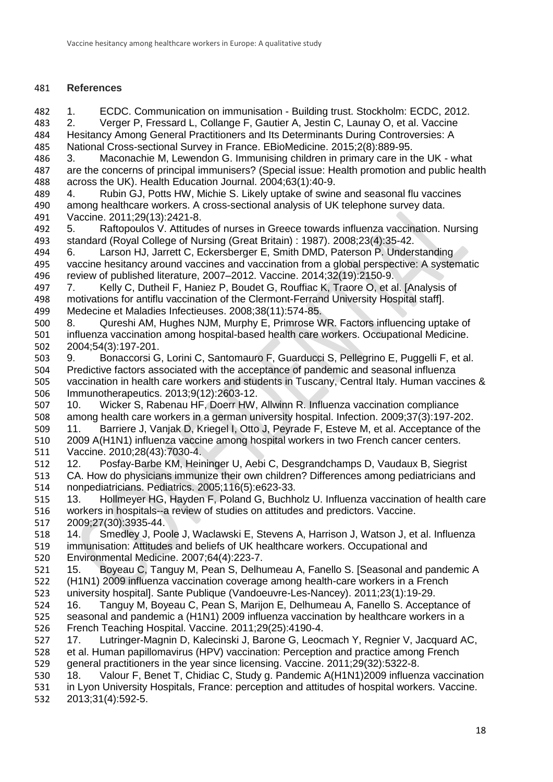# **References**

<span id="page-17-0"></span>1. ECDC. Communication on immunisation - Building trust. Stockholm: ECDC, 2012.

<span id="page-17-1"></span> 2. Verger P, Fressard L, Collange F, Gautier A, Jestin C, Launay O, et al. Vaccine Hesitancy Among General Practitioners and Its Determinants During Controversies: A National Cross-sectional Survey in France. EBioMedicine. 2015;2(8):889-95.

<span id="page-17-9"></span> 3. Maconachie M, Lewendon G. Immunising children in primary care in the UK - what are the concerns of principal immunisers? (Special issue: Health promotion and public health across the UK). Health Education Journal. 2004;63(1):40-9.

<span id="page-17-7"></span> 4. Rubin GJ, Potts HW, Michie S. Likely uptake of swine and seasonal flu vaccines among healthcare workers. A cross-sectional analysis of UK telephone survey data. Vaccine. 2011;29(13):2421-8.

<span id="page-17-8"></span> 5. Raftopoulos V. Attitudes of nurses in Greece towards influenza vaccination. Nursing standard (Royal College of Nursing (Great Britain) : 1987). 2008;23(4):35-42.

<span id="page-17-2"></span> 6. Larson HJ, Jarrett C, Eckersberger E, Smith DMD, Paterson P. Understanding vaccine hesitancy around vaccines and vaccination from a global perspective: A systematic review of published literature, 2007–2012. Vaccine. 2014;32(19):2150-9.

<span id="page-17-3"></span> 7. Kelly C, Dutheil F, Haniez P, Boudet G, Rouffiac K, Traore O, et al. [Analysis of motivations for antiflu vaccination of the Clermont-Ferrand University Hospital staff]. Medecine et Maladies Infectieuses. 2008;38(11):574-85.

<span id="page-17-4"></span> 8. Qureshi AM, Hughes NJM, Murphy E, Primrose WR. Factors influencing uptake of influenza vaccination among hospital-based health care workers. Occupational Medicine. 2004;54(3):197-201.

<span id="page-17-5"></span> 9. Bonaccorsi G, Lorini C, Santomauro F, Guarducci S, Pellegrino E, Puggelli F, et al. Predictive factors associated with the acceptance of pandemic and seasonal influenza vaccination in health care workers and students in Tuscany, Central Italy. Human vaccines & Immunotherapeutics. 2013;9(12):2603-12.

<span id="page-17-10"></span><span id="page-17-6"></span> 10. Wicker S, Rabenau HF, Doerr HW, Allwinn R. Influenza vaccination compliance among health care workers in a german university hospital. Infection. 2009;37(3):197-202. 11. Barriere J, Vanjak D, Kriegel I, Otto J, Peyrade F, Esteve M, et al. Acceptance of the 2009 A(H1N1) influenza vaccine among hospital workers in two French cancer centers. Vaccine. 2010;28(43):7030-4.

<span id="page-17-11"></span> 12. Posfay-Barbe KM, Heininger U, Aebi C, Desgrandchamps D, Vaudaux B, Siegrist CA. How do physicians immunize their own children? Differences among pediatricians and nonpediatricians. Pediatrics. 2005;116(5):e623-33.

<span id="page-17-12"></span> 13. Hollmeyer HG, Hayden F, Poland G, Buchholz U. Influenza vaccination of health care workers in hospitals--a review of studies on attitudes and predictors. Vaccine. 2009;27(30):3935-44.

 14. Smedley J, Poole J, Waclawski E, Stevens A, Harrison J, Watson J, et al. Influenza immunisation: Attitudes and beliefs of UK healthcare workers. Occupational and Environmental Medicine. 2007;64(4):223-7.

<span id="page-17-13"></span> 15. Boyeau C, Tanguy M, Pean S, Delhumeau A, Fanello S. [Seasonal and pandemic A (H1N1) 2009 influenza vaccination coverage among health-care workers in a French university hospital]. Sante Publique (Vandoeuvre-Les-Nancey). 2011;23(1):19-29.

<span id="page-17-14"></span> 16. Tanguy M, Boyeau C, Pean S, Marijon E, Delhumeau A, Fanello S. Acceptance of seasonal and pandemic a (H1N1) 2009 influenza vaccination by healthcare workers in a French Teaching Hospital. Vaccine. 2011;29(25):4190-4.

<span id="page-17-15"></span> 17. Lutringer-Magnin D, Kalecinski J, Barone G, Leocmach Y, Regnier V, Jacquard AC, et al. Human papillomavirus (HPV) vaccination: Perception and practice among French general practitioners in the year since licensing. Vaccine. 2011;29(32):5322-8.

<span id="page-17-16"></span>18. Valour F, Benet T, Chidiac C, Study g. Pandemic A(H1N1)2009 influenza vaccination

 in Lyon University Hospitals, France: perception and attitudes of hospital workers. Vaccine. 2013;31(4):592-5.